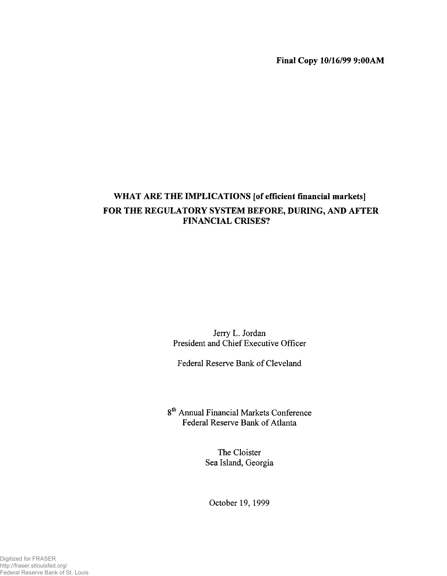**Final Copy 10/16/99 9:00AM**

## **WHAT ARE THE IMPLICATIONS [of efficient financial markets] FOR THE REGULATORY SYSTEM BEFORE, DURING, AND AFTER FINANCIAL CRISES?**

Jerry L. Jordan President and Chief Executive Officer

Federal Reserve Bank of Cleveland

8th Annual Financial Markets Conference Federal Reserve Bank of Atlanta

> The Cloister Sea Island, Georgia

October 19,1999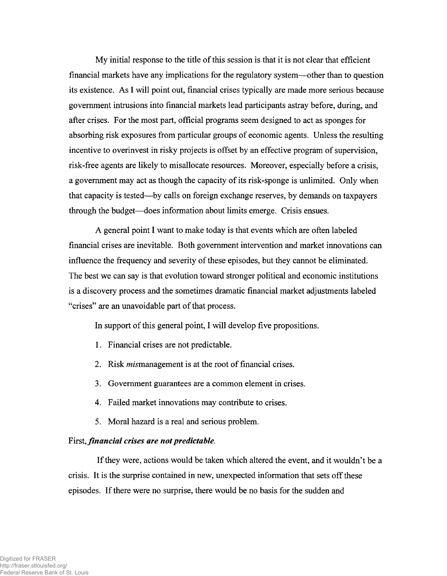My initial response to the title of this session is that it is not clear that efficient financial markets have any implications for the regulatory system—other than to question its existence. As I will point out, financial crises typically are made more serious because government intrusions into financial markets lead participants astray before, during, and after crises. For the most part, official programs seem designed to act as sponges for absorbing risk exposures from particular groups of economic agents. Unless the resulting incentive to overinvest in risky projects is offset by an effective program of supervision, risk-free agents are likely to misallocate resources. Moreover, especially before a crisis, a government may act as though the capacity of its risk-sponge is unlimited. Only when that capacity is tested—by calls on foreign exchange reserves, by demands on taxpayers through the budget—does information about limits emerge. Crisis ensues.

A general point I want to make today is that events which are often labeled financial crises are inevitable. Both government intervention and market innovations can influence the frequency and severity of these episodes, but they cannot be eliminated. The best we can say is that evolution toward stronger political and economic institutions is a discovery process and the sometimes dramatic financial market adjustments labeled "crises" are an unavoidable part of that process.

In support of this general point, I will develop five propositions.

- 1. Financial crises are not predictable.
- 2. Risk mismanagement is at the root of financial crises.
- 3. Government guarantees are a common element in crises.
- 4. Failed market innovations may contribute to crises.
- 5. Moral hazard is a real and serious problem.

#### First, *financial crises are not predictable.*

If they were, actions would be taken which altered the event, and it wouldn't be a crisis. It is the surprise contained in new, unexpected information that sets off these episodes. If there were no surprise, there would be no basis for the sudden and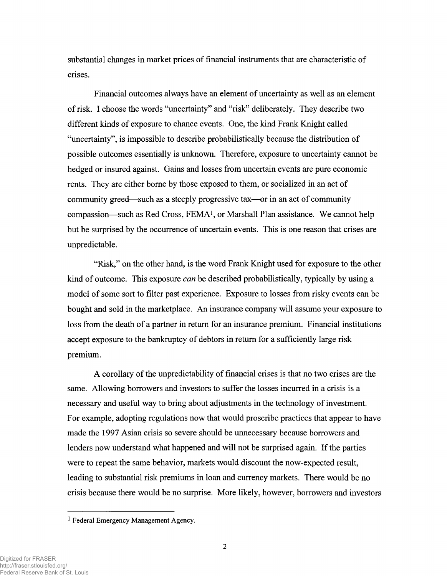substantial changes in market prices of financial instruments that are characteristic of crises.

Financial outcomes always have an element of uncertainty as well as an element of risk. I choose the words "uncertainty" and "risk" deliberately. They describe two different kinds of exposure to chance events. One, the kind Frank Knight called "uncertainty", is impossible to describe probabilistically because the distribution of possible outcomes essentially is unknown. Therefore, exposure to uncertainty cannot be hedged or insured against. Gains and losses from uncertain events are pure economic rents. They are either borne by those exposed to them, or socialized in an act of community greed—such as a steeply progressive tax—or in an act of community compassion—such as Red Cross, FEMA1, or Marshall Plan assistance. We cannot help but be surprised by the occurrence of uncertain events. This is one reason that crises are unpredictable.

"Risk," on the other hand, is the word Frank Knight used for exposure to the other kind of outcome. This exposure *can* be described probabilistically, typically by using a model of some sort to filter past experience. Exposure to losses from risky events can be bought and sold in the marketplace. An insurance company will assume your exposure to loss from the death of a partner in return for an insurance premium. Financial institutions accept exposure to the bankruptcy of debtors in return for a sufficiently large risk premium.

A corollary of the unpredictability of financial crises is that no two crises are the same. Allowing borrowers and investors to suffer the losses incurred in a crisis is a necessary and useful way to bring about adjustments in the technology of investment. For example, adopting regulations now that would proscribe practices that appear to have made the 1997 Asian crisis so severe should be unnecessary because borrowers and lenders now understand what happened and will not be surprised again. If the parties were to repeat the same behavior, markets would discount the now-expected result, leading to substantial risk premiums in loan and currency markets. There would be no crisis because there would be no surprise. More likely, however, borrowers and investors

**<sup>1</sup> Federal Emergency Management Agency.**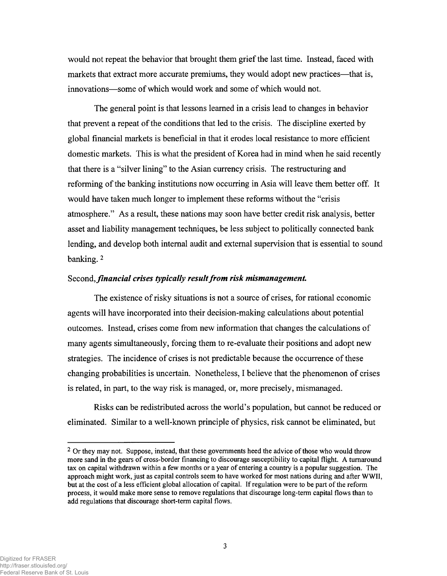would not repeat the behavior that brought them grief the last time. Instead, faced with markets that extract more accurate premiums, they would adopt new practices—that is, innovations—some of which would work and some of which would not.

The general point is that lessons learned in a crisis lead to changes in behavior that prevent a repeat of the conditions that led to the crisis. The discipline exerted by global financial markets is beneficial in that it erodes local resistance to more efficient domestic markets. This is what the president of Korea had in mind when he said recently that there is a "silver lining" to the Asian currency crisis. The restructuring and reforming of the banking institutions now occurring in Asia will leave them better off. It would have taken much longer to implement these reforms without the "crisis atmosphere." As a result, these nations may soon have better credit risk analysis, better asset and liability management techniques, be less subject to politically connected bank lending, and develop both internal audit and external supervision that is essential to sound banking. 2

### Second*, financial crises typically result from risk mismanagement.*

The existence of risky situations is not a source of crises, for rational economic agents will have incorporated into their decision-making calculations about potential outcomes. Instead, crises come from new information that changes the calculations of many agents simultaneously, forcing them to re-evaluate their positions and adopt new strategies. The incidence of crises is not predictable because the occurrence of these changing probabilities is uncertain. Nonetheless, I believe that the phenomenon of crises is related, in part, to the way risk is managed, or, more precisely, mismanaged.

Risks can be redistributed across the world's population, but cannot be reduced or eliminated. Similar to a well-known principle of physics, risk cannot be eliminated, but

**<sup>2</sup> Or they may not. Suppose, instead, that these governments heed the advice of those who would throw more sand in the gears of cross-border financing to discourage susceptibility to capital flight. A turnaround tax on capital withdrawn within a few months or a year of entering a country is a popular suggestion. The approach might work, just as capital controls seem to have worked for most nations during and after WWII, but at the cost of a less efficient global allocation of capital. If regulation were to be part of the reform process, it would make more sense to remove regulations that discourage long-term capital flows than to add regulations that discourage short-term capital flows.**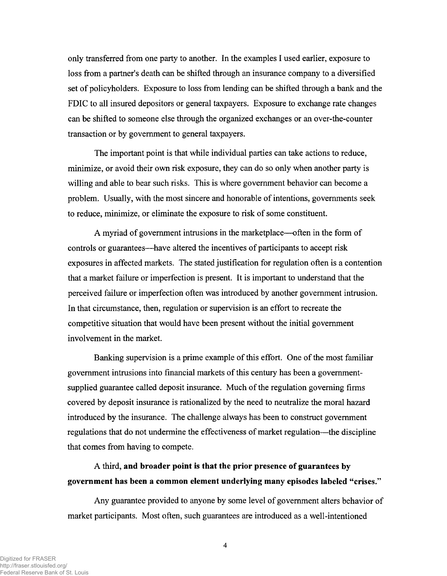only transferred from one party to another. In the examples I used earlier, exposure to loss from a partner's death can be shifted through an insurance company to a diversified set of policyholders. Exposure to loss from lending can be shifted through a bank and the FDIC to all insured depositors or general taxpayers. Exposure to exchange rate changes can be shifted to someone else through the organized exchanges or an over-the-counter transaction or by government to general taxpayers.

The important point is that while individual parties can take actions to reduce, minimize, or avoid their own risk exposure, they can do so only when another party is willing and able to bear such risks. This is where government behavior can become a problem. Usually, with the most sincere and honorable of intentions, governments seek to reduce, minimize, or eliminate the exposure to risk of some constituent.

A myriad of government intrusions in the marketplace—often in the form of controls or guarantees—have altered the incentives of participants to accept risk exposures in affected markets. The stated justification for regulation often is a contention that a market failure or imperfection is present. It is important to understand that the perceived failure or imperfection often was introduced by another government intrusion. In that circumstance, then, regulation or supervision is an effort to recreate the competitive situation that would have been present without the initial government involvement in the market.

Banking supervision is a prime example of this effort. One of the most familiar government intrusions into financial markets of this century has been a governmentsupplied guarantee called deposit insurance. Much of the regulation governing firms covered by deposit insurance is rationalized by the need to neutralize the moral hazard introduced by the insurance. The challenge always has been to construct government regulations that do not undermine the effectiveness of market regulation—the discipline that comes from having to compete.

# A third, **and broader point is that the prior presence of guarantees by government has been a common element underlying many episodes labeled "crises."**

Any guarantee provided to anyone by some level of government alters behavior of market participants. Most often, such guarantees are introduced as a well-intentioned

**4**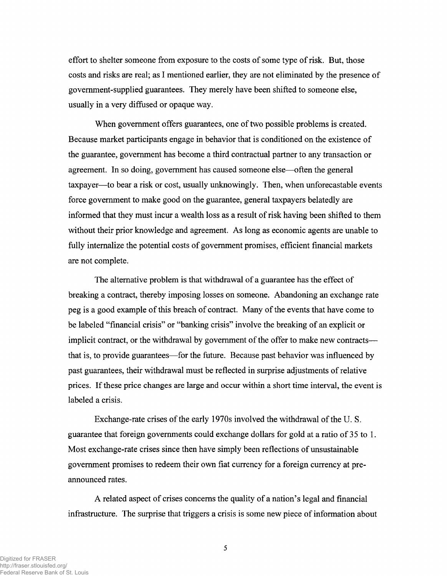effort to shelter someone from exposure to the costs of some type of risk. But, those costs and risks are real; as I mentioned earlier, they are not eliminated by the presence of government-supplied guarantees. They merely have been shifted to someone else, usually in a very diffused or opaque way.

When government offers guarantees, one of two possible problems is created. Because market participants engage in behavior that is conditioned on the existence of the guarantee, government has become a third contractual partner to any transaction or agreement. In so doing, government has caused someone else—often the general taxpayer—to bear a risk or cost, usually unknowingly. Then, when unforecastable events force government to make good on the guarantee, general taxpayers belatedly are informed that they must incur a wealth loss as a result of risk having been shifted to them without their prior knowledge and agreement. As long as economic agents are unable to fully internalize the potential costs of government promises, efficient financial markets are not complete.

The alternative problem is that withdrawal of a guarantee has the effect of breaking a contract, thereby imposing losses on someone. Abandoning an exchange rate peg is a good example of this breach of contract. Many of the events that have come to be labeled "financial crisis" or "banking crisis" involve the breaking of an explicit or implicit contract, or the withdrawal by government of the offer to make new contracts that is, to provide guarantees—for the future. Because past behavior was influenced by past guarantees, their withdrawal must be reflected in surprise adjustments of relative prices. If these price changes are large and occur within a short time interval, the event is labeled a crisis.

Exchange-rate crises of the early 1970s involved the withdrawal of the U. S. guarantee that foreign governments could exchange dollars for gold at a ratio of 35 to 1. Most exchange-rate crises since then have simply been reflections of unsustainable government promises to redeem their own fiat currency for a foreign currency at preannounced rates.

A related aspect of crises concerns the quality of a nation's legal and financial infrastructure. The surprise that triggers a crisis is some new piece of information about

**5**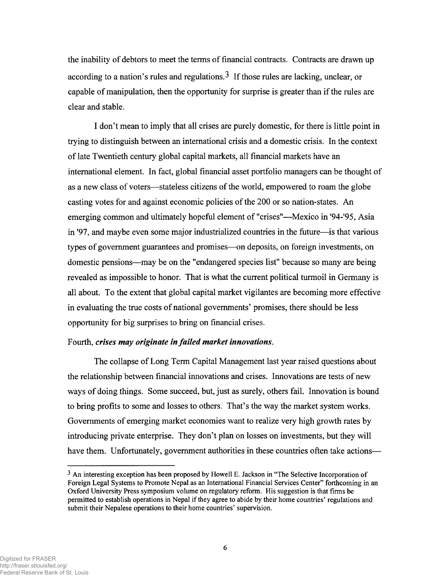the inability of debtors to meet the terms of financial contracts. Contracts are drawn up according to a nation's rules and regulations.<sup>3</sup> If those rules are lacking, unclear, or capable of manipulation, then the opportunity for surprise is greater than if the rules are clear and stable.

I don't mean to imply that all crises are purely domestic, for there is little point in trying to distinguish between an international crisis and a domestic crisis. In the context of late Twentieth century global capital markets, all financial markets have an international element. In fact, global financial asset portfolio managers can be thought of as a new class of voters—stateless citizens of the world, empowered to roam the globe casting votes for and against economic policies of the 200 or so nation-states. An emerging common and ultimately hopeful element of "crises"—Mexico in '94-95, Asia in '97, and maybe even some major industrialized countries in the future—is that various types of government guarantees and promises—on deposits, on foreign investments, on domestic pensions—may be on the "endangered species list" because so many are being revealed as impossible to honor. That is what the current political turmoil in Germany is all about. To the extent that global capital market vigilantes are becoming more effective in evaluating the true costs of national governments' promises, there should be less opportunity for big surprises to bring on financial crises.

## Fourth, *crises may originate in failed market innovations.*

The collapse of Long Term Capital Management last year raised questions about the relationship between financial innovations and crises. Innovations are tests of new ways of doing things. Some succeed, but, just as surely, others fail. Innovation is bound to bring profits to some and losses to others. That's the way the market system works. Governments of emerging market economies want to realize very high growth rates by introducing private enterprise. They don't plan on losses on investments, but they will have them. Unfortunately, government authorities in these countries often take actions—

**<sup>3</sup> An interesting exception has been proposed by Howell E. Jackson in "The Selective Incorporation of Foreign Legal Systems to Promote Nepal as an International Financial Services Center" forthcoming in an Oxford University Press symposium volume on regulatory reform. His suggestion is that firms be permitted to establish operations in Nepal if they agree to abide by their home countries' regulations and submit their Nepalese operations to their home countries' supervision.**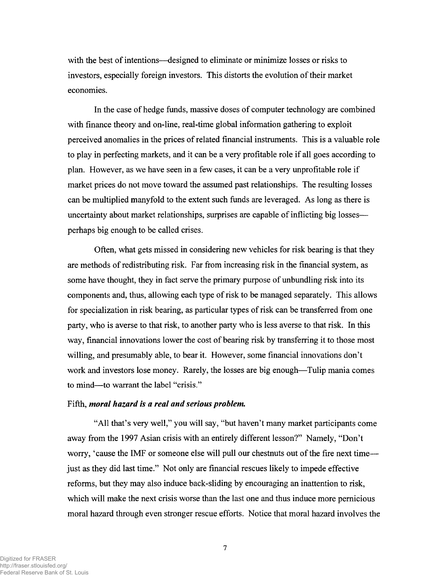with the best of intentions—designed to eliminate or minimize losses or risks to investors, especially foreign investors. This distorts the evolution of their market economies.

In the case of hedge funds, massive doses of computer technology are combined with finance theory and on-line, real-time global information gathering to exploit perceived anomalies in the prices of related financial instruments. This is a valuable role to play in perfecting markets, and it can be a very profitable role if all goes according to plan. However, as we have seen in a few cases, it can be a very unprofitable role if market prices do not move toward the assumed past relationships. The resulting losses can be multiplied manyfold to the extent such funds are leveraged. As long as there is uncertainty about market relationships, surprises are capable of inflicting big losses perhaps big enough to be called crises.

Often, what gets missed in considering new vehicles for risk bearing is that they are methods of redistributing risk. Far from increasing risk in the financial system, as some have thought, they in fact serve the primary purpose of unbundling risk into its components and, thus, allowing each type of risk to be managed separately. This allows for specialization in risk bearing, as particular types of risk can be transferred from one party, who is averse to that risk, to another party who is less averse to that risk. In this way, financial innovations lower the cost of bearing risk by transferring it to those most willing, and presumably able, to bear it. However, some financial innovations don't work and investors lose money. Rarely, the losses are big enough—Tulip mania comes to mind—to warrant the label "crisis."

### Fifth, *moral hazard is a real and serious problem.*

"All that's very well," you will say, "but haven't many market participants come away from the 1997 Asian crisis with an entirely different lesson?" Namely, "Don't worry, 'cause the IMF or someone else will pull our chestnuts out of the fire next time just as they did last time." Not only are financial rescues likely to impede effective reforms, but they may also induce back-sliding by encouraging an inattention to risk, which will make the next crisis worse than the last one and thus induce more pernicious moral hazard through even stronger rescue efforts. Notice that moral hazard involves the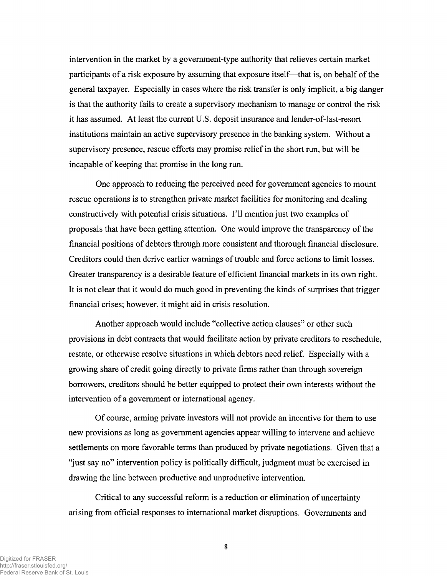intervention in the market by a government-type authority that relieves certain market participants of a risk exposure by assuming that exposure itself—that is, on behalf of the general taxpayer. Especially in cases where the risk transfer is only implicit, a big danger is that the authority fails to create a supervisory mechanism to manage or control the risk it has assumed. At least the current U.S. deposit insurance and lender-of-last-resort institutions maintain an active supervisory presence in the banking system. Without a supervisory presence, rescue efforts may promise relief in the short run, but will be incapable of keeping that promise in the long run.

One approach to reducing the perceived need for government agencies to mount rescue operations is to strengthen private market facilities for monitoring and dealing constructively with potential crisis situations. I'll mention just two examples of proposals that have been getting attention. One would improve the transparency of the financial positions of debtors through more consistent and thorough financial disclosure. Creditors could then derive earlier warnings of trouble and force actions to limit losses. Greater transparency is a desirable feature of efficient financial markets in its own right. It is not clear that it would do much good in preventing the kinds of surprises that trigger financial crises; however, it might aid in crisis resolution.

Another approach would include "collective action clauses" or other such provisions in debt contracts that would facilitate action by private creditors to reschedule, restate, or otherwise resolve situations in which debtors need relief. Especially with a growing share of credit going directly to private firms rather than through sovereign borrowers, creditors should be better equipped to protect their own interests without the intervention of a government or international agency.

Of course, arming private investors will not provide an incentive for them to use new provisions as long as government agencies appear willing to intervene and achieve settlements on more favorable terms than produced by private negotiations. Given that a "just say no" intervention policy is politically difficult, judgment must be exercised in drawing the line between productive and unproductive intervention.

Critical to any successful reform is a reduction or elimination of uncertainty arising from official responses to international market disruptions. Governments and

8